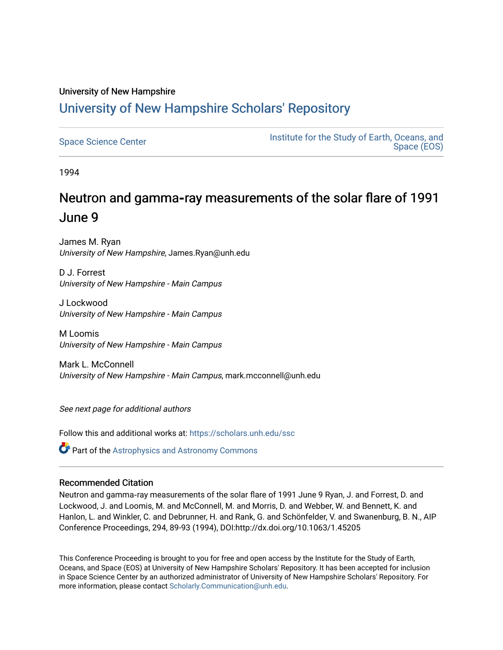## University of New Hampshire [University of New Hampshire Scholars' Repository](https://scholars.unh.edu/)

| <b>Space Science Center</b> | Institute for the Study of Earth, Oceans, and<br>Space (EOS) |
|-----------------------------|--------------------------------------------------------------|
|-----------------------------|--------------------------------------------------------------|

1994

# Neutron and gamma-ray measurements of the solar flare of 1991 June 9

James M. Ryan University of New Hampshire, James.Ryan@unh.edu

D J. Forrest University of New Hampshire - Main Campus

J Lockwood University of New Hampshire - Main Campus

M Loomis University of New Hampshire - Main Campus

Mark L. McConnell University of New Hampshire - Main Campus, mark.mcconnell@unh.edu

See next page for additional authors

Follow this and additional works at: [https://scholars.unh.edu/ssc](https://scholars.unh.edu/ssc?utm_source=scholars.unh.edu%2Fssc%2F169&utm_medium=PDF&utm_campaign=PDFCoverPages)

**Part of the Astrophysics and Astronomy Commons** 

### Recommended Citation

Neutron and gamma‐ray measurements of the solar flare of 1991 June 9 Ryan, J. and Forrest, D. and Lockwood, J. and Loomis, M. and McConnell, M. and Morris, D. and Webber, W. and Bennett, K. and Hanlon, L. and Winkler, C. and Debrunner, H. and Rank, G. and Schönfelder, V. and Swanenburg, B. N., AIP Conference Proceedings, 294, 89-93 (1994), DOI:http://dx.doi.org/10.1063/1.45205

This Conference Proceeding is brought to you for free and open access by the Institute for the Study of Earth, Oceans, and Space (EOS) at University of New Hampshire Scholars' Repository. It has been accepted for inclusion in Space Science Center by an authorized administrator of University of New Hampshire Scholars' Repository. For more information, please contact [Scholarly.Communication@unh.edu.](mailto:Scholarly.Communication@unh.edu)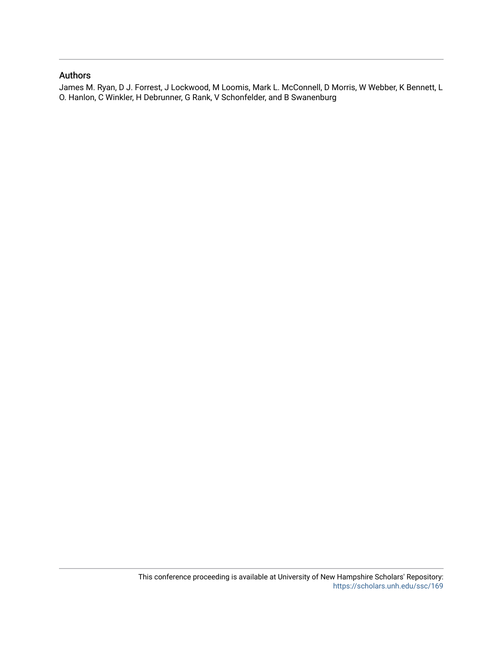## Authors

James M. Ryan, D J. Forrest, J Lockwood, M Loomis, Mark L. McConnell, D Morris, W Webber, K Bennett, L O. Hanlon, C Winkler, H Debrunner, G Rank, V Schonfelder, and B Swanenburg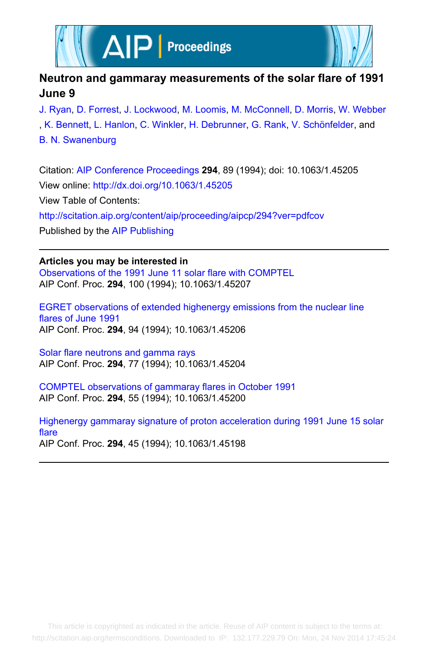



## **Neutron and gammaray measurements of the solar flare of 1991 June 9**

[J. Ryan](http://scitation.aip.org/search?value1=J.+Ryan&option1=author), [D. Forrest](http://scitation.aip.org/search?value1=D.+Forrest&option1=author), [J. Lockwood](http://scitation.aip.org/search?value1=J.+Lockwood&option1=author), [M. Loomis,](http://scitation.aip.org/search?value1=M.+Loomis&option1=author) [M. McConnell](http://scitation.aip.org/search?value1=M.+McConnell&option1=author), [D. Morris](http://scitation.aip.org/search?value1=D.+Morris&option1=author), [W. Webber](http://scitation.aip.org/search?value1=W.+Webber&option1=author) , [K. Bennett](http://scitation.aip.org/search?value1=K.+Bennett&option1=author), [L. Hanlon,](http://scitation.aip.org/search?value1=L.+Hanlon&option1=author) [C. Winkler](http://scitation.aip.org/search?value1=C.+Winkler&option1=author), [H. Debrunner,](http://scitation.aip.org/search?value1=H.+Debrunner&option1=author) [G. Rank](http://scitation.aip.org/search?value1=G.+Rank&option1=author), [V. Schönfelder](http://scitation.aip.org/search?value1=V.+Sch�nfelder&option1=author), and [B. N. Swanenburg](http://scitation.aip.org/search?value1=B.+N.+Swanenburg&option1=author)

Citation: [AIP Conference Proceedings](http://scitation.aip.org/content/aip/proceeding/aipcp?ver=pdfcov) **294**, 89 (1994); doi: 10.1063/1.45205 View online: <http://dx.doi.org/10.1063/1.45205> View Table of Contents: <http://scitation.aip.org/content/aip/proceeding/aipcp/294?ver=pdfcov> Published by the [AIP Publishing](http://scitation.aip.org/content/aip?ver=pdfcov)

**Articles you may be interested in**

[Observations of the 1991 June 11 solar flare with COMPTEL](http://scitation.aip.org/content/aip/proceeding/aipcp/10.1063/1.45207?ver=pdfcov) AIP Conf. Proc. **294**, 100 (1994); 10.1063/1.45207

[EGRET observations of extended highenergy emissions from the nuclear line](http://scitation.aip.org/content/aip/proceeding/aipcp/10.1063/1.45206?ver=pdfcov) [flares of June 1991](http://scitation.aip.org/content/aip/proceeding/aipcp/10.1063/1.45206?ver=pdfcov) AIP Conf. Proc. **294**, 94 (1994); 10.1063/1.45206

[Solar flare neutrons and gamma rays](http://scitation.aip.org/content/aip/proceeding/aipcp/10.1063/1.45204?ver=pdfcov) AIP Conf. Proc. **294**, 77 (1994); 10.1063/1.45204

[COMPTEL observations of gammaray flares in October 1991](http://scitation.aip.org/content/aip/proceeding/aipcp/10.1063/1.45200?ver=pdfcov) AIP Conf. Proc. **294**, 55 (1994); 10.1063/1.45200

[Highenergy gammaray signature of proton acceleration during 1991 June 15 solar](http://scitation.aip.org/content/aip/proceeding/aipcp/10.1063/1.45198?ver=pdfcov) [flare](http://scitation.aip.org/content/aip/proceeding/aipcp/10.1063/1.45198?ver=pdfcov) AIP Conf. Proc. **294**, 45 (1994); 10.1063/1.45198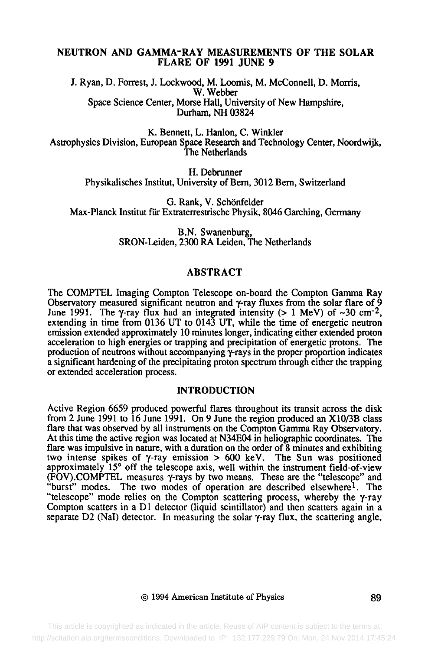#### **NEUTRON AND GAMMA-RAY MEASUREMENTS OF THE SOLAR FLARE OF 1991 JUNE 9**

J. Ryan, D. Forrest, J. Lockwood, M. Loomis, M. McConnell, D. Morris, W. Webber Space Science Center, Morse Hall, University of New Hampshire, Durham, NH 03824

K. Bennett, L. Hanlon, C. Winkler Astrophysics Division, European Space Research and Technology Center, Noordwijk, The Netherlands

> H. Debrunner Physikalisches Institut, University of Bern, 3012 Bern, Switzerland

G. Rank, V. Schönfelder Max-Planck Institut für Extraterrestrische Physik, 8046 Garching, Germany

> **B.N.** Swanenburg, SRON-Leiden, 2300 RA Leiden, The Netherlands

#### ABSTRACT

The COMPTEL Imaging Compton Telescope on-board the Compton Gamma Ray Observatory measured significant neutron and  $\gamma$ -ray fluxes from the solar flare of  $\frac{6}{9}$ June 1991. The  $\gamma$ -ray flux had an integrated intensity (> 1 MeV) of  $\sim$ 30 cm<sup>-2</sup>, extending in time from 0136 UT to 0143 UT, while the time of energetic neutron emission extended approximately 10 minutes longer, indicating either extended proton acceleration to high energies or trapping and precipitation of energetic protons. The production of neutrons without accompanying  $\gamma$ -rays in the proper proportion indicates a significant hardening of the precipitating proton spectrum through either the trapping or extended acceleration process.

#### INTRODUCTION

Active Region 6659 produced powerful flares throughout its transit across the disk from 2 June 1991 to 16 June 1991. On 9 June the region produced an X10/3B class flare that was observed by all instruments on the Compton Gamma Ray Observatory. At this time the active region was located at N34E04 in heliographic coordinates. The flare was impulsive in nature, with a duration on the order of 8 minutes and exhibiting two intense spikes of  $\gamma$ -ray emission  $> 600$  keV. The Sun was positioned approximately  $15^{\circ}$  off the telescope axis, well within the instrument field-of-view  $(FOV)$ ;COMPTEL measures  $\gamma$ -rays by two means. These are the "telescope" and burst" modes. The two modes of operation are described elsewhere<sup>1</sup>. The "telescope" mode relies on the Compton scattering process, whereby the  $\gamma$ -ray Compton scatters in a  $D1$  detector (liquid scintillator) and then scatters again in a separate D2 (NaI) detector. In measuring the solar  $\gamma$ -ray flux, the scattering angle,

#### 9 1994 American Institute of Physics 89

 This article is copyrighted as indicated in the article. Reuse of AIP content is subject to the terms at: http://scitation.aip.org/termsconditions. Downloaded to IP: 132.177.229.79 On: Mon, 24 Nov 2014 17:45:24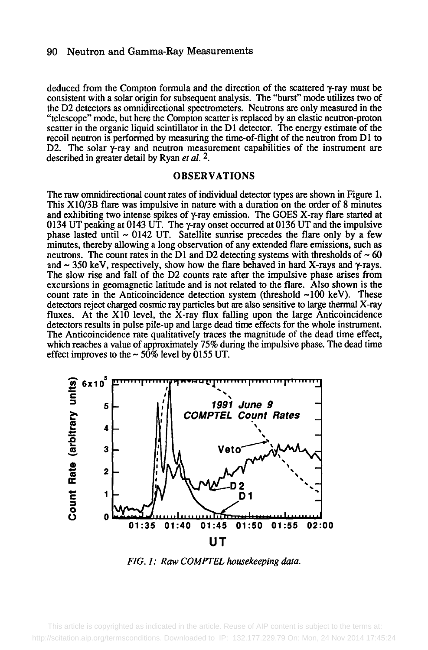#### 90 Neutron and Gamma-Ray Measurements

deduced from the Compton formula and the direction of the scattered y-ray must be consistent with a solar origin for subsequent analysis. The "burst" mode utilizes two of the D2 detectors as omnidirectional spectrometers. Neutrons are only measured in the "telescope" mode, but here the Compton scatter is replaced by an elastic neutron-proton scatter in the organic liquid scintillator in the D1 detector. The energy estimate of the recoil neutron is performed by measuring the time-of-flight of the neutron from D1 to D2. The solar  $\gamma$ -ray and neutron measurement capabilities of the instrument are described in greater detail by Ryan *et al. 2.* 

#### OBSERVATIONS

The raw omnidirectional count rates of individual detector types are shown in Figure 1. This X10/3B flare was impulsive in nature with a duration on the order of 8 minutes and exhibiting two intense spikes of  $\gamma$ -ray emission. The GOES X-ray flare started at 0134 UT peaking at 0143 UT. The y-ray onset occurred at 0136 LIT and the impulsive phase lasted until  $\sim 0142$  UT. Satellite sunrise precedes the flare only by a few minutes, thereby allowing a long observation of any extended flare emissions, such as neutrons. The count rates in the D1 and D2 detecting systems with thresholds of  $\sim 60$ and  $\sim$  350 keV, respectively, show how the flare behaved in hard X-rays and  $\gamma$ -rays. The slow rise and fall of the D2 counts rate after the impulsive phase arises from excursions in geomagnetic latitude and is not related to the flare. Also shown is the count rate in the Anticoincidence detection system (threshold  $\sim$ 100 keV). These detectors reject charged cosmic ray particles but are also sensitive to large thermal X-ray fluxes. At the X10 level, the X-ray flux falling upon the large Anticoincidence detectors results in pulse pile-up and large dead time effects for the whole instrument. The Anticoincidence rate qualitatively traces the magnitude of the dead time effect, which reaches a value of approximately 75% during the impulsive phase. The dead time effect improves to the  $\sim$  50% level by 0155 UT.



*FIG. 1: Raw COMPTEL housekeeping data.* 

 This article is copyrighted as indicated in the article. Reuse of AIP content is subject to the terms at: http://scitation.aip.org/termsconditions. Downloaded to IP: 132.177.229.79 On: Mon, 24 Nov 2014 17:45:24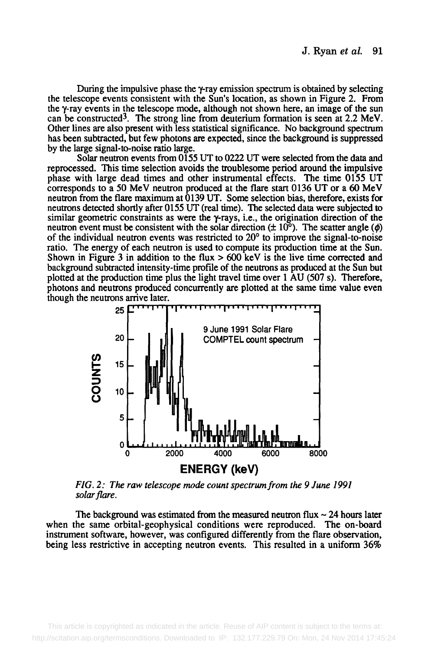During the impulsive phase the  $\gamma$ -ray emission spectrum is obtained by selecting the telescope events consistent with the Sun's location, as shown in Figure 2. From the  $\gamma$ -ray events in the telescope mode, although not shown here, an image of the sun can be constructed<sup>3</sup>. The strong line from deuterium formation is seen at  $2.2 \text{ MeV}$ . Other lines are also present with less statistical significance. No background spectrum has been subtracted, but few photons are expected, since the background is suppressed by the large signal-to-noise ratio large.

Solar neutron events from 0155 UT to 0222 UT were selected from the data and reprocessed. This time selection avoids the troublesome period around the impulsive phase with large dead times and other instrumental effects. The time 0155 UT corresponds to a 50 MeV neutron produced at the flare start 0136 UT or a 60 MeV neutron from the flare maximum at 0139 UT. Some selection bias, therefore, exists for neutrons detected shortly after 0155 UT (real time). The selected data were subjected to similar geometric constraints as were the  $\gamma$ -rays, i.e., the origination direction of the neutron event must be consistent with the solar direction  $(\pm 10^{\circ})$ . The scatter angle ( $\phi$ ) of the individual neutron events was restricted to  $20^{\circ}$  to improve the signal-to-noise ratio. The energy of each neutron is used to compute its production time at the Sun. Shown in Figure 3 in addition to the flux  $> 600 \text{ keV}$  is the live time corrected and background subtracted intensity-time profile of the neutrons as produced at the Sun but plotted at the production time plus the light travel time over 1 AU (507 s). Therefore, photons and neutrons produced concurrently are plotted at the same time value even though the neutrons arrive later.



*FIG. 2: The raw telescope mode count spectrum from the 9 June 1991 solar flare.* 

The background was estimated from the measured neutron flux  $\sim$  24 hours later when the same orbital-geophysical conditions were reproduced. The on-board instrument software, however, was configured differently from the flare observation, being less restrictive in accepting neutron events. This resulted in a uniform 36%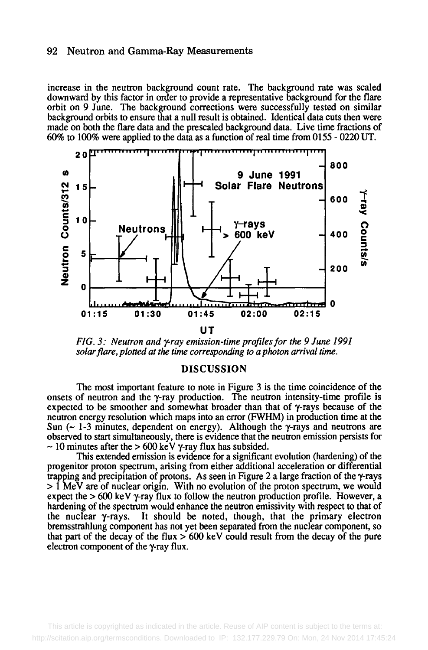#### 92 Neutron and Gamma-Ray Measurements

increase in the neutron background count rate. The background rate was scaled downward by this factor in order to provide a representative background for the flare orbit on 9 June. The background corrections were successfully tested on similar background orbits to ensure that a null result is obtained. Identical data cuts then were made on both the flare data and the prescaled background data. Live time fractions of 60% to 100% were applied to the data as a function of real time from 0155 - 0220 UT.



*FIG. 3: Neutron and y-ray emission-time profiles for the 9 June 1991 solar flare, plotted at the time corresponding to a photon arrival time.* 

#### DISCUSSION

The most important feature to note in Figure 3 is the time coincidence of the onsets of neutron and the y-ray production. The neutron intensity-time profile is expected to be smoother and somewhat broader than that of y-rays because of the neutron energy resolution which maps into an error (FWHM) in production time at the Sun  $\sim$  1-3 minutes, dependent on energy). Although the  $\gamma$ -rays and neutrons are observed to start simultaneously, there is evidence that the neutron emission persists for  $\sim$  10 minutes after the  $> 600$  keV  $\gamma$ -ray flux has subsided.

This extended emission is evidence for a significant evolution (hardening) of the progenitor proton spectrum, arising from either additional acceleration or differential trapping and precipitation of protons. As seen in Figure 2 a large fraction of the y-rays > 1 MeV are of nuclear origin. With no evolution of the proton spectrum, we would expect the  $> 600$  keV  $\gamma$ -ray flux to follow the neutron production profile. However, a hardening of the spectrum would enhance the neutron emissivity with respect to that of the nuclear  $\gamma$ -rays. It should be noted, though, that the primary electron bremsstrahlung component has not yet been separated from the nuclear component, so that part of the decay of the flux  $> 600$  keV could result from the decay of the pure electron component of the y-ray flux.